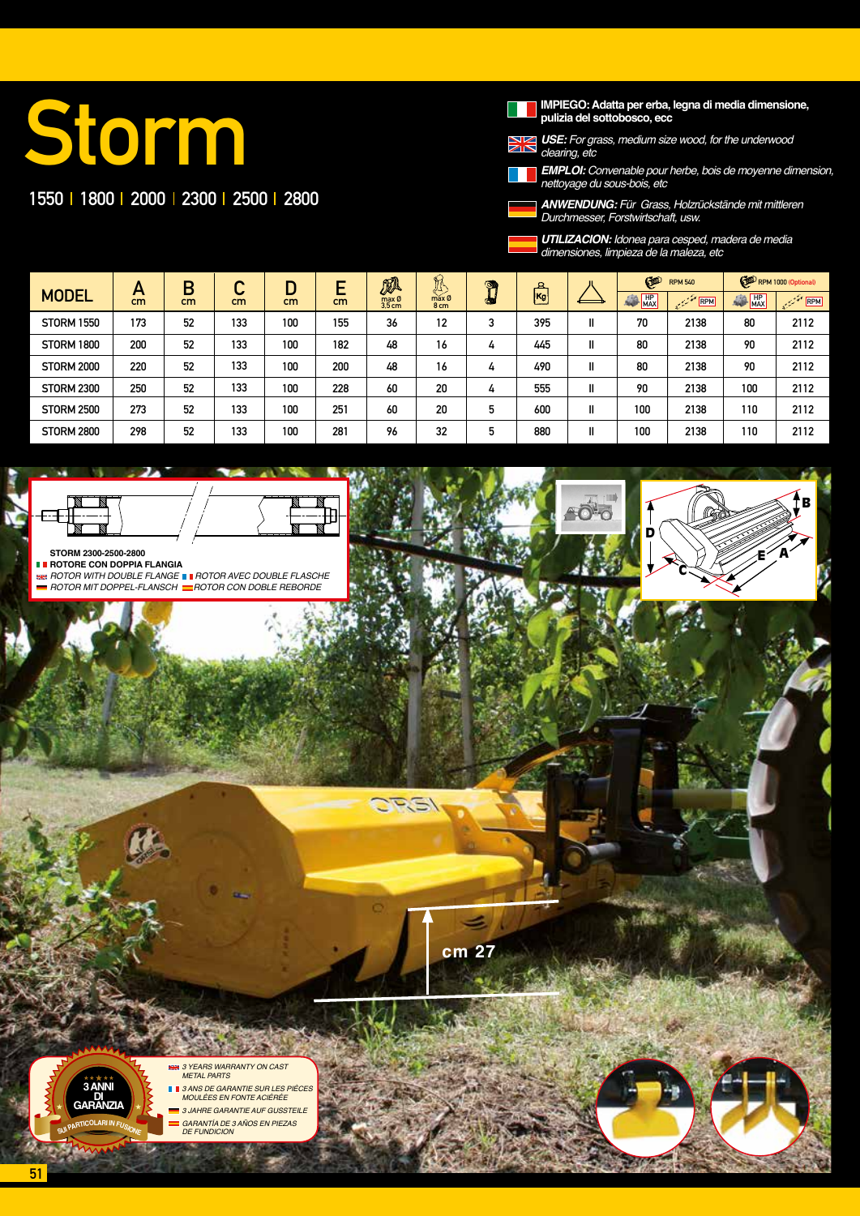# Storm

### 1550 1800 2000 2300 2500 2800

**IMPIEGO: Adatta per erba, legna di media dimensione, pulizia del sottobosco, ecc**

*USE:* For grass, medium size wood, for the underwood

*clearing, etc EMPLOI: Convenable pour herbe, bois de moyenne dimension, nettoyage du sous-bois, etc*

*ANWENDUNG:* Für Grass, Holzrückstände mit mittleren *Durchmesser, Forstwirtschaft, usw.*



*UTILIZACION: Idonea para cesped, madera de media* dimensiones, limpieza de la maleza, etc

C

D

E A

B

|                   | A   | Β  | ⌒   |         |     | 瓜               | $\mathbb{R}$  | <b>DA</b> |                           |    | G<br><b>RPM 540</b>   |                                                | RPM 1000 (Optional) |                                                                       |
|-------------------|-----|----|-----|---------|-----|-----------------|---------------|-----------|---------------------------|----|-----------------------|------------------------------------------------|---------------------|-----------------------------------------------------------------------|
| <b>MODEL</b>      | cm  | cm | cm  | ш<br>cm | cm  | max Ø<br>3.5 cm | max Ø<br>8 cm |           | $\mathbb{E}^{\mathbb{R}}$ |    | $\frac{HP}{MAX}$<br>編 | $\mathcal{L}^{\text{max}}_{\text{max}}$<br>RPM | <b>AND HP</b>       | $\mathbb{R}^{\mathbb{Z}^{\times \mathbb{Z}^{\times \mathbb{Z}}}}$ RPM |
| <b>STORM 1550</b> | 173 | 52 | 133 | 100     | 155 | 36              | 12            |           | 395                       | II | 70                    | 2138                                           | 80                  | 2112                                                                  |
| <b>STORM 1800</b> | 200 | 52 | 133 | 100     | 182 | 48              | 16            | 4         | 445                       | II | 80                    | 2138                                           | 90                  | 2112                                                                  |
| <b>STORM 2000</b> | 220 | 52 | 133 | 100     | 200 | 48              | 16            | 4         | 490                       | II | 80                    | 2138                                           | 90                  | 2112                                                                  |
| <b>STORM 2300</b> | 250 | 52 | 133 | 100     | 228 | 60              | 20            | 4         | 555                       | II | 90                    | 2138                                           | 100                 | 2112                                                                  |
| <b>STORM 2500</b> | 273 | 52 | 133 | 100     | 251 | 60              | 20            | 5         | 600                       | II | 100                   | 2138                                           | 110                 | 2112                                                                  |
| <b>STORM 2800</b> | 298 | 52 | 133 | 100     | 281 | 96              | 32            | 5         | 880                       |    | 100                   | 2138                                           | 110                 | 2112                                                                  |

**STORM 2300-2500-2800 ROTORE CON DOPPIA FLANGIA** 

**READER TO A FIGHT OF THE STATE ROTOR AVEC DOUBLE FLASCHE**  $\blacksquare$  ROTOR MIT DOPPEL-FLANSCH  $\blacksquare$ ROTOR CON DOBLE REBORDE

**cm 27**

**DPG** 

*3 YEARS WARRANTY ON CAST METAL PARTS 3 ANS DE GARANTIE SUR LES PIÈCES* 

*MOULÉES EN FONTE ACIÉRÉE 3 JAHRE GARANTIE AUF GUSSTEILE GARANTÍA DE 3 AÑOS EN PIEZAS DE FUNDICION*

51

**3 ANNI DI GARANZIA <sup>S</sup>U<sup>I</sup> <sup>P</sup>ARTICOLAR<sup>I</sup> <sup>I</sup><sup>N</sup> <sup>F</sup>USION<sup>E</sup>**